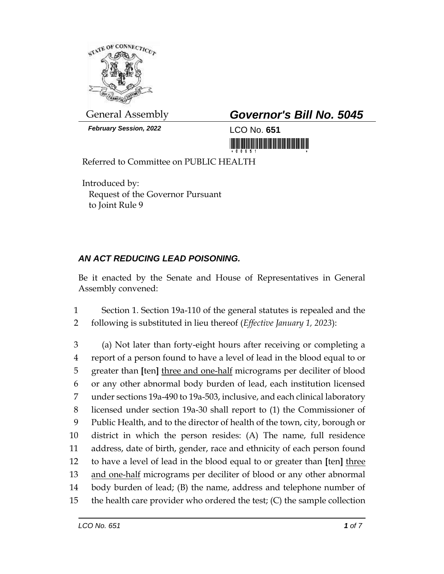

*February Session, 2022* LCO No. **651**

General Assembly *Governor's Bill No. 5045*

<u>ni kitiki kitika manamana ma</u>

Referred to Committee on PUBLIC HEALTH

Introduced by: Request of the Governor Pursuant to Joint Rule 9

## *AN ACT REDUCING LEAD POISONING.*

Be it enacted by the Senate and House of Representatives in General Assembly convened:

1 Section 1. Section 19a-110 of the general statutes is repealed and the 2 following is substituted in lieu thereof (*Effective January 1, 2023*):

 (a) Not later than forty-eight hours after receiving or completing a report of a person found to have a level of lead in the blood equal to or greater than **[**ten**]** three and one-half micrograms per deciliter of blood or any other abnormal body burden of lead, each institution licensed under sections 19a-490 to 19a-503, inclusive, and each clinical laboratory licensed under section 19a-30 shall report to (1) the Commissioner of Public Health, and to the director of health of the town, city, borough or district in which the person resides: (A) The name, full residence address, date of birth, gender, race and ethnicity of each person found to have a level of lead in the blood equal to or greater than **[**ten**]** three and one-half micrograms per deciliter of blood or any other abnormal body burden of lead; (B) the name, address and telephone number of the health care provider who ordered the test; (C) the sample collection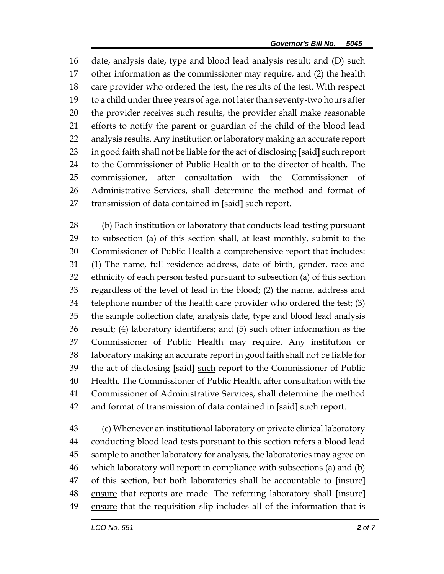date, analysis date, type and blood lead analysis result; and (D) such other information as the commissioner may require, and (2) the health care provider who ordered the test, the results of the test. With respect to a child under three years of age, not later than seventy-two hours after the provider receives such results, the provider shall make reasonable efforts to notify the parent or guardian of the child of the blood lead analysis results. Any institution or laboratory making an accurate report in good faith shall not be liable for the act of disclosing **[**said**]** such report to the Commissioner of Public Health or to the director of health. The 25 commissioner, after consultation with the Commissioner Administrative Services, shall determine the method and format of transmission of data contained in **[**said**]** such report.

 (b) Each institution or laboratory that conducts lead testing pursuant to subsection (a) of this section shall, at least monthly, submit to the Commissioner of Public Health a comprehensive report that includes: (1) The name, full residence address, date of birth, gender, race and ethnicity of each person tested pursuant to subsection (a) of this section regardless of the level of lead in the blood; (2) the name, address and telephone number of the health care provider who ordered the test; (3) the sample collection date, analysis date, type and blood lead analysis result; (4) laboratory identifiers; and (5) such other information as the Commissioner of Public Health may require. Any institution or laboratory making an accurate report in good faith shall not be liable for the act of disclosing **[**said**]** such report to the Commissioner of Public Health. The Commissioner of Public Health, after consultation with the Commissioner of Administrative Services, shall determine the method and format of transmission of data contained in **[**said**]** such report.

 (c) Whenever an institutional laboratory or private clinical laboratory conducting blood lead tests pursuant to this section refers a blood lead sample to another laboratory for analysis, the laboratories may agree on which laboratory will report in compliance with subsections (a) and (b) of this section, but both laboratories shall be accountable to **[**insure**]** ensure that reports are made. The referring laboratory shall **[**insure**]** ensure that the requisition slip includes all of the information that is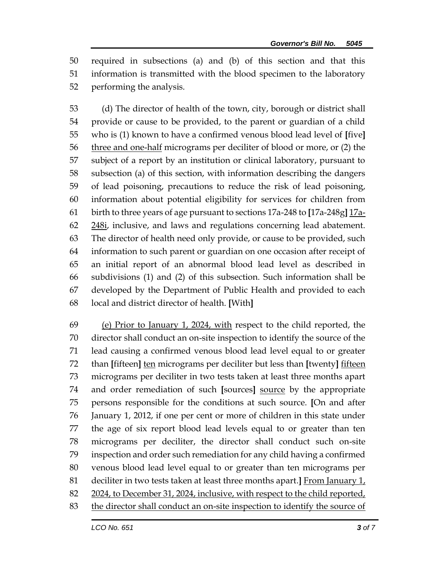required in subsections (a) and (b) of this section and that this information is transmitted with the blood specimen to the laboratory performing the analysis.

 (d) The director of health of the town, city, borough or district shall provide or cause to be provided, to the parent or guardian of a child who is (1) known to have a confirmed venous blood lead level of **[**five**]** 56 three and one-half micrograms per deciliter of blood or more, or (2) the subject of a report by an institution or clinical laboratory, pursuant to subsection (a) of this section, with information describing the dangers of lead poisoning, precautions to reduce the risk of lead poisoning, information about potential eligibility for services for children from birth to three years of age pursuant to sections 17a-248 to **[**17a-248g**]** 17a-62 248i, inclusive, and laws and regulations concerning lead abatement. The director of health need only provide, or cause to be provided, such information to such parent or guardian on one occasion after receipt of an initial report of an abnormal blood lead level as described in subdivisions (1) and (2) of this subsection. Such information shall be developed by the Department of Public Health and provided to each local and district director of health. **[**With**]**

69 (e) Prior to January 1, 2024, with respect to the child reported, the director shall conduct an on-site inspection to identify the source of the lead causing a confirmed venous blood lead level equal to or greater than **[**fifteen**]** ten micrograms per deciliter but less than **[**twenty**]** fifteen micrograms per deciliter in two tests taken at least three months apart and order remediation of such **[**sources**]** source by the appropriate persons responsible for the conditions at such source. **[**On and after January 1, 2012, if one per cent or more of children in this state under the age of six report blood lead levels equal to or greater than ten micrograms per deciliter, the director shall conduct such on-site inspection and order such remediation for any child having a confirmed venous blood lead level equal to or greater than ten micrograms per deciliter in two tests taken at least three months apart.**]** From January 1, 82 2024, to December 31, 2024, inclusive, with respect to the child reported, the director shall conduct an on-site inspection to identify the source of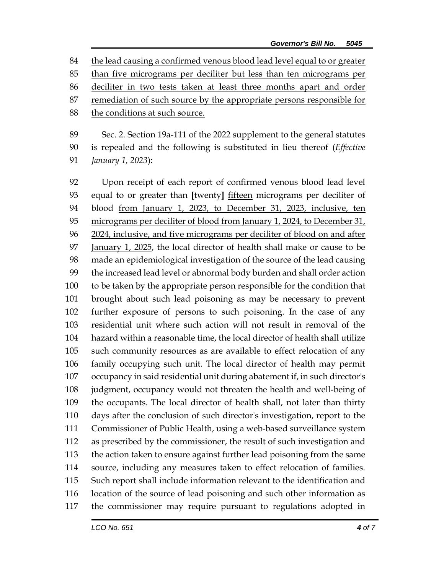the lead causing a confirmed venous blood lead level equal to or greater than five micrograms per deciliter but less than ten micrograms per deciliter in two tests taken at least three months apart and order remediation of such source by the appropriate persons responsible for the conditions at such source.

 Sec. 2. Section 19a-111 of the 2022 supplement to the general statutes is repealed and the following is substituted in lieu thereof (*Effective January 1, 2023*):

 Upon receipt of each report of confirmed venous blood lead level equal to or greater than **[**twenty**]** fifteen micrograms per deciliter of blood from January 1, 2023, to December 31, 2023, inclusive, ten micrograms per deciliter of blood from January 1, 2024, to December 31, 2024, inclusive, and five micrograms per deciliter of blood on and after January 1, 2025, the local director of health shall make or cause to be made an epidemiological investigation of the source of the lead causing the increased lead level or abnormal body burden and shall order action to be taken by the appropriate person responsible for the condition that brought about such lead poisoning as may be necessary to prevent further exposure of persons to such poisoning. In the case of any residential unit where such action will not result in removal of the hazard within a reasonable time, the local director of health shall utilize such community resources as are available to effect relocation of any family occupying such unit. The local director of health may permit occupancy in said residential unit during abatement if, in such director's judgment, occupancy would not threaten the health and well-being of the occupants. The local director of health shall, not later than thirty days after the conclusion of such director's investigation, report to the Commissioner of Public Health, using a web-based surveillance system as prescribed by the commissioner, the result of such investigation and the action taken to ensure against further lead poisoning from the same source, including any measures taken to effect relocation of families. Such report shall include information relevant to the identification and location of the source of lead poisoning and such other information as the commissioner may require pursuant to regulations adopted in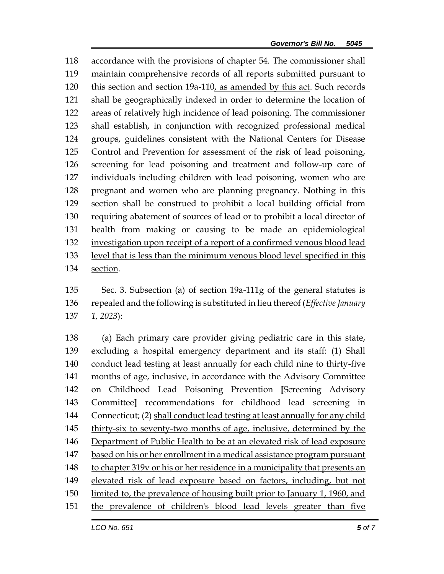accordance with the provisions of chapter 54. The commissioner shall maintain comprehensive records of all reports submitted pursuant to this section and section 19a-110, as amended by this act. Such records shall be geographically indexed in order to determine the location of areas of relatively high incidence of lead poisoning. The commissioner shall establish, in conjunction with recognized professional medical groups, guidelines consistent with the National Centers for Disease Control and Prevention for assessment of the risk of lead poisoning, screening for lead poisoning and treatment and follow-up care of individuals including children with lead poisoning, women who are pregnant and women who are planning pregnancy. Nothing in this section shall be construed to prohibit a local building official from requiring abatement of sources of lead or to prohibit a local director of health from making or causing to be made an epidemiological investigation upon receipt of a report of a confirmed venous blood lead level that is less than the minimum venous blood level specified in this section.

 Sec. 3. Subsection (a) of section 19a-111g of the general statutes is repealed and the following is substituted in lieu thereof (*Effective January 1, 2023*):

 (a) Each primary care provider giving pediatric care in this state, excluding a hospital emergency department and its staff: (1) Shall conduct lead testing at least annually for each child nine to thirty-five months of age, inclusive, in accordance with the Advisory Committee on Childhood Lead Poisoning Prevention **[**Screening Advisory Committee**]** recommendations for childhood lead screening in Connecticut; (2) shall conduct lead testing at least annually for any child thirty-six to seventy-two months of age, inclusive, determined by the Department of Public Health to be at an elevated risk of lead exposure based on his or her enrollment in a medical assistance program pursuant to chapter 319v or his or her residence in a municipality that presents an elevated risk of lead exposure based on factors, including, but not limited to, the prevalence of housing built prior to January 1, 1960, and the prevalence of children's blood lead levels greater than five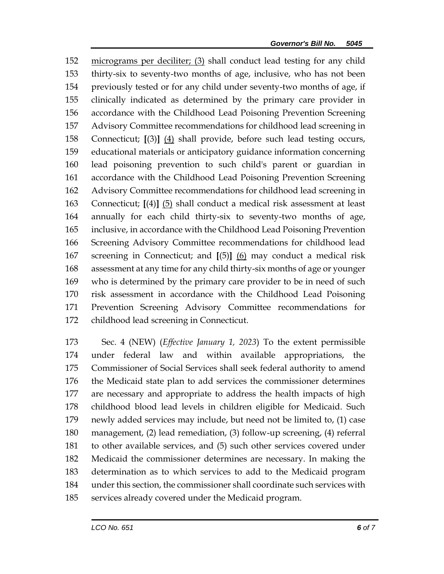micrograms per deciliter; (3) shall conduct lead testing for any child thirty-six to seventy-two months of age, inclusive, who has not been previously tested or for any child under seventy-two months of age, if clinically indicated as determined by the primary care provider in accordance with the Childhood Lead Poisoning Prevention Screening Advisory Committee recommendations for childhood lead screening in Connecticut; **[**(3)**]** (4) shall provide, before such lead testing occurs, educational materials or anticipatory guidance information concerning lead poisoning prevention to such child's parent or guardian in accordance with the Childhood Lead Poisoning Prevention Screening Advisory Committee recommendations for childhood lead screening in Connecticut; **[**(4)**]** (5) shall conduct a medical risk assessment at least annually for each child thirty-six to seventy-two months of age, inclusive, in accordance with the Childhood Lead Poisoning Prevention Screening Advisory Committee recommendations for childhood lead screening in Connecticut; and **[**(5)**]** (6) may conduct a medical risk assessment at any time for any child thirty-six months of age or younger who is determined by the primary care provider to be in need of such risk assessment in accordance with the Childhood Lead Poisoning Prevention Screening Advisory Committee recommendations for childhood lead screening in Connecticut.

 Sec. 4 (NEW) (*Effective January 1, 2023*) To the extent permissible under federal law and within available appropriations, the Commissioner of Social Services shall seek federal authority to amend the Medicaid state plan to add services the commissioner determines are necessary and appropriate to address the health impacts of high childhood blood lead levels in children eligible for Medicaid. Such newly added services may include, but need not be limited to, (1) case management, (2) lead remediation, (3) follow-up screening, (4) referral to other available services, and (5) such other services covered under Medicaid the commissioner determines are necessary. In making the determination as to which services to add to the Medicaid program under this section, the commissioner shall coordinate such services with services already covered under the Medicaid program.